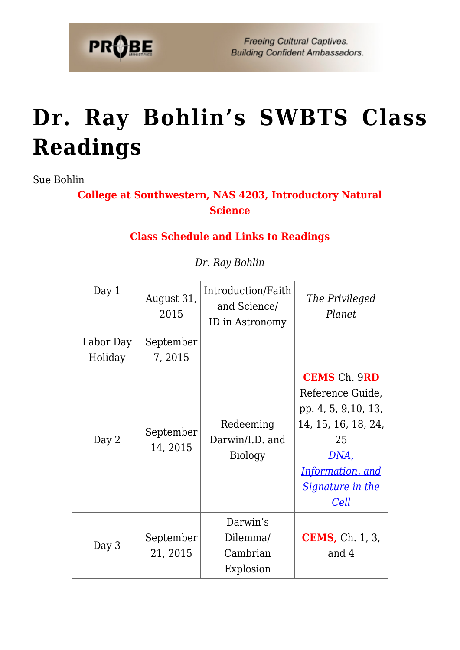

**Freeing Cultural Captives. Building Confident Ambassadors.** 

## **[Dr. Ray Bohlin's SWBTS Class](https://probe.org/dr-ray-bohlins-swbts-class-readings/) [Readings](https://probe.org/dr-ray-bohlins-swbts-class-readings/)**

Sue Bohlin

**College at Southwestern, NAS 4203, Introductory Natural Science**

## **Class Schedule and Links to Readings**

| Day 1                | August 31,<br>2015    | Introduction/Faith<br>and Science/<br>ID in Astronomy | The Privileged<br>Planet                                                                                                                                                  |
|----------------------|-----------------------|-------------------------------------------------------|---------------------------------------------------------------------------------------------------------------------------------------------------------------------------|
| Labor Day<br>Holiday | September<br>7, 2015  |                                                       |                                                                                                                                                                           |
| Day 2                | September<br>14, 2015 | Redeeming<br>Darwin/I.D. and<br><b>Biology</b>        | <b>CEMS</b> Ch. 9RD<br>Reference Guide,<br>pp. 4, 5, 9, 10, 13,<br>14, 15, 16, 18, 24,<br>25<br><u>DNA,</u><br><b>Information, and</b><br><b>Signature in the</b><br>Cell |
| Day 3                | September<br>21, 2015 | Darwin's<br>Dilemma/<br>Cambrian<br>Explosion         | <b>CEMS</b> , Ch. 1, 3,<br>and 4                                                                                                                                          |

*Dr. Ray Bohlin*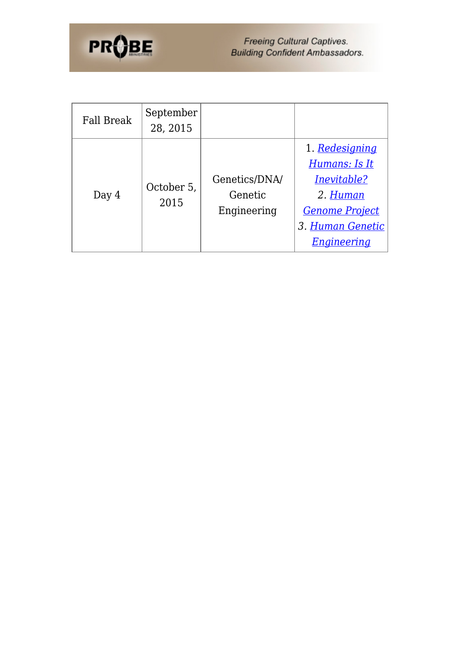

Freeing Cultural Captives.<br>Building Confident Ambassadors.

| Fall Break | September<br>28, 2015 |               |                       |
|------------|-----------------------|---------------|-----------------------|
|            |                       |               | 1. Redesigning        |
|            |                       |               | Humans: Is It         |
| Day $4$    | October 5,<br>2015    | Genetics/DNA/ | Inevitable?           |
|            |                       | Genetic       | 2. Human              |
|            |                       | Engineering   | <b>Genome Project</b> |
|            |                       |               | 3. Human Genetic      |
|            |                       |               | Engineering           |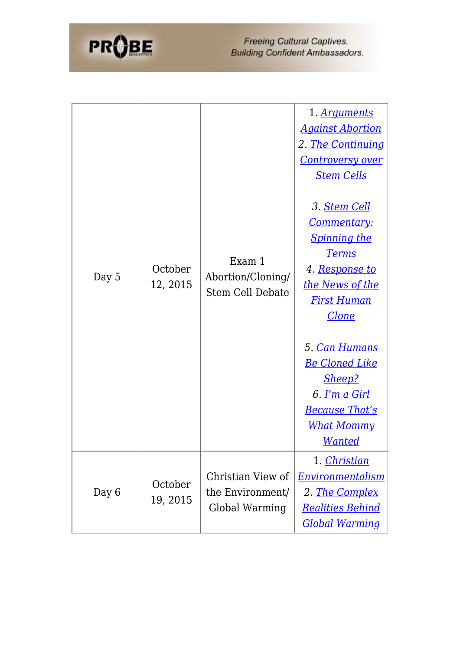

| Day 5 | October<br>12, 2015 | Exam 1<br>Abortion/Cloning/<br><b>Stem Cell Debate</b>  | 1. Arguments<br><b>Against Abortion</b><br>2. <u>The Continuing</u><br><b>Controversy over</b><br><b>Stem Cells</b><br>3. <u>Stem Cell</u><br><u>Commentary:</u><br><b>Spinning the</b><br><b>Terms</b><br>4. <u>Response to</u><br><u>the News of the</u><br><b>First Human</b><br><b>Clone</b><br>5. Can Humans<br><u>Be Cloned Like</u><br><u>Sheep?</u><br>6. <u>I'm a Girl</u><br><u>Because That's</u><br><u>What Mommy</u> |
|-------|---------------------|---------------------------------------------------------|-----------------------------------------------------------------------------------------------------------------------------------------------------------------------------------------------------------------------------------------------------------------------------------------------------------------------------------------------------------------------------------------------------------------------------------|
|       |                     |                                                         | <b>Wanted</b>                                                                                                                                                                                                                                                                                                                                                                                                                     |
| Day 6 | October<br>19, 2015 | Christian View of<br>the Environment/<br>Global Warming | 1. Christian<br><b>Environmentalism</b><br>2. The Complex<br><b>Realities Behind</b><br><u>Global Warming</u>                                                                                                                                                                                                                                                                                                                     |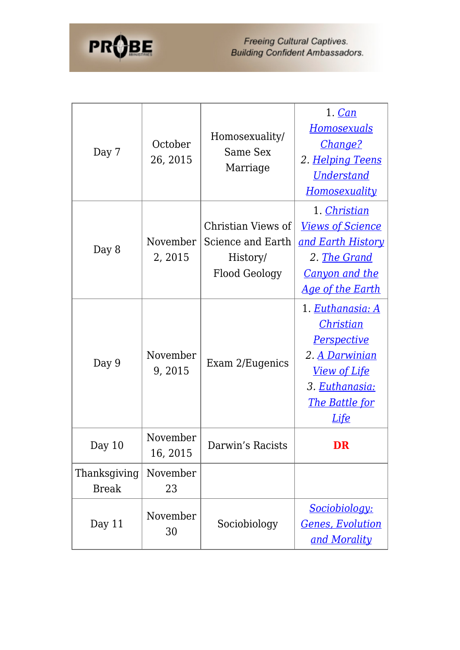

| Day 7                        | October<br>26, 2015  | Homosexuality/<br>Same Sex<br>Marriage                                      | 1. Can<br><u>Homosexuals</u><br>Change?<br>2. Helping Teens<br><b>Understand</b><br>Homosexuality                                                      |
|------------------------------|----------------------|-----------------------------------------------------------------------------|--------------------------------------------------------------------------------------------------------------------------------------------------------|
| Day 8                        | November<br>2, 2015  | Christian Views of<br>Science and Earth<br>History/<br><b>Flood Geology</b> | 1. Christian<br><b>Views of Science</b><br><u>and Earth History</u><br>2. The Grand<br><b>Canyon and the</b><br><u>Age of the Earth</u>                |
| Day 9                        | November<br>9,2015   | Exam 2/Eugenics                                                             | 1. Euthanasia: A<br>Christian<br><b>Perspective</b><br>2. A Darwinian<br><u>View of Life</u><br>3. Euthanasia:<br><u>The Battle for</u><br><u>Life</u> |
| Day 10                       | November<br>16, 2015 | Darwin's Racists                                                            | DR                                                                                                                                                     |
| Thanksgiving<br><b>Break</b> | November<br>23       |                                                                             |                                                                                                                                                        |
| Day 11                       | November<br>30       | Sociobiology                                                                | Sociobiology:<br><u>Genes, Evolution</u><br>and Morality                                                                                               |